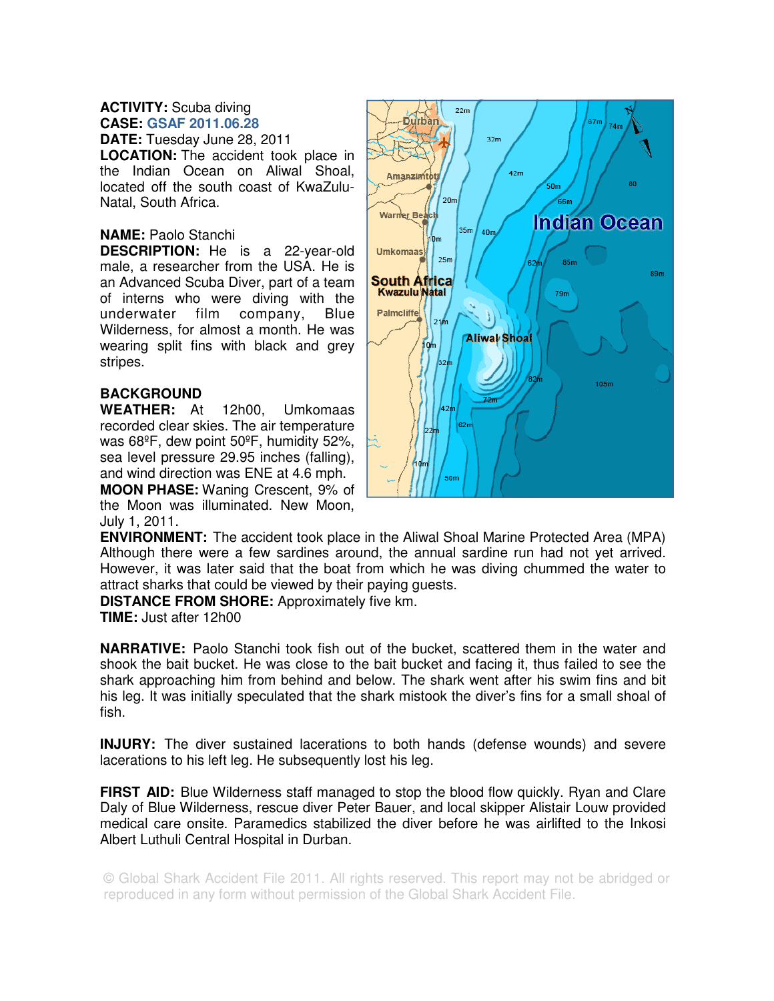## **ACTIVITY:** Scuba diving **CASE: GSAF 2011.06.28**

**DATE:** Tuesday June 28, 2011 **LOCATION:** The accident took place in the Indian Ocean on Aliwal Shoal, located off the south coast of KwaZulu-Natal, South Africa.

## **NAME:** Paolo Stanchi

**DESCRIPTION:** He is a 22-year-old male, a researcher from the USA. He is an Advanced Scuba Diver, part of a team of interns who were diving with the underwater film company, Blue Wilderness, for almost a month. He was wearing split fins with black and grey stripes.

## **BACKGROUND**

**WEATHER:** At 12h00, Umkomaas recorded clear skies. The air temperature was 68ºF, dew point 50ºF, humidity 52%, sea level pressure 29.95 inches (falling), and wind direction was ENE at 4.6 mph.

**MOON PHASE:** Waning Crescent, 9% of the Moon was illuminated. New Moon, July 1, 2011.



**ENVIRONMENT:** The accident took place in the Aliwal Shoal Marine Protected Area (MPA) Although there were a few sardines around, the annual sardine run had not yet arrived. However, it was later said that the boat from which he was diving chummed the water to attract sharks that could be viewed by their paying guests.

**DISTANCE FROM SHORE:** Approximately five km.

**TIME:** Just after 12h00

**NARRATIVE:** Paolo Stanchi took fish out of the bucket, scattered them in the water and shook the bait bucket. He was close to the bait bucket and facing it, thus failed to see the shark approaching him from behind and below. The shark went after his swim fins and bit his leg. It was initially speculated that the shark mistook the diver's fins for a small shoal of fish.

**INJURY:** The diver sustained lacerations to both hands (defense wounds) and severe lacerations to his left leg. He subsequently lost his leg.

**FIRST AID:** Blue Wilderness staff managed to stop the blood flow quickly. Ryan and Clare Daly of Blue Wilderness, rescue diver Peter Bauer, and local skipper Alistair Louw provided medical care onsite. Paramedics stabilized the diver before he was airlifted to the Inkosi Albert Luthuli Central Hospital in Durban.

© Global Shark Accident File 2011. All rights reserved. This report may not be abridged or reproduced in any form without permission of the Global Shark Accident File.